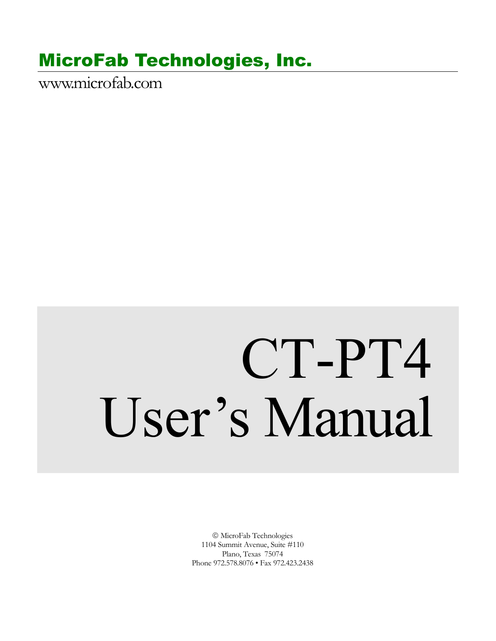## MicroFab Technologies, Inc.

www.microfab.com

# CT-PT4 User's Manual

 MicroFab Technologies 1104 Summit Avenue, Suite #110 Plano, Texas 75074 Phone 972.578.8076 • Fax 972.423.2438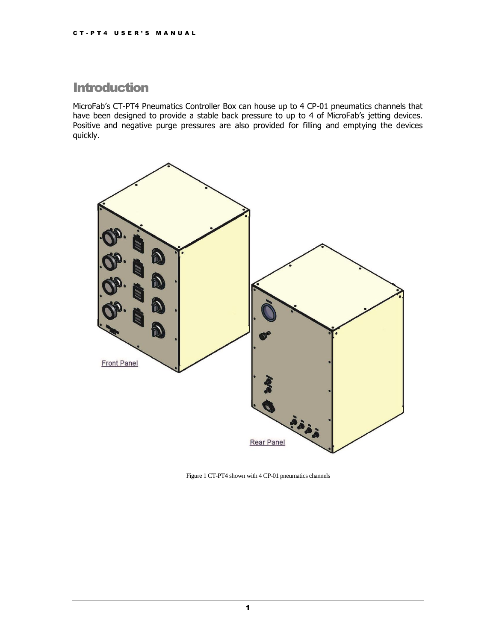### **Introduction**

MicroFab's CT-PT4 Pneumatics Controller Box can house up to 4 CP-01 pneumatics channels that have been designed to provide a stable back pressure to up to 4 of MicroFab's jetting devices. Positive and negative purge pressures are also provided for filling and emptying the devices quickly.



Figure 1 CT-PT4 shown with 4 CP-01 pneumatics channels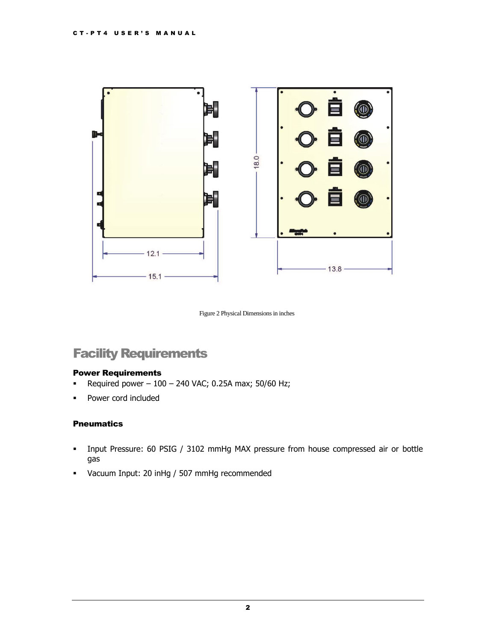

Figure 2 Physical Dimensions in inches

## Facility Requirements

#### Power Requirements

- **-** Required power  $-100 240$  VAC; 0.25A max; 50/60 Hz;
- **Power cord included**

#### **Pneumatics**

- Input Pressure: 60 PSIG / 3102 mmHg MAX pressure from house compressed air or bottle gas
- Vacuum Input: 20 inHg / 507 mmHg recommended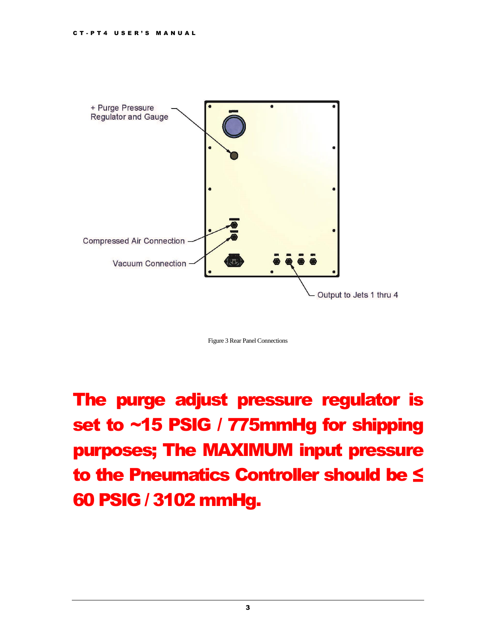

Figure 3 Rear Panel Connections

The purge adjust pressure regulator is set to ~15 PSIG / 775mmHg for shipping purposes; The MAXIMUM input pressure to the Pneumatics Controller should be ≤ 60 PSIG / 3102 mmHg.

3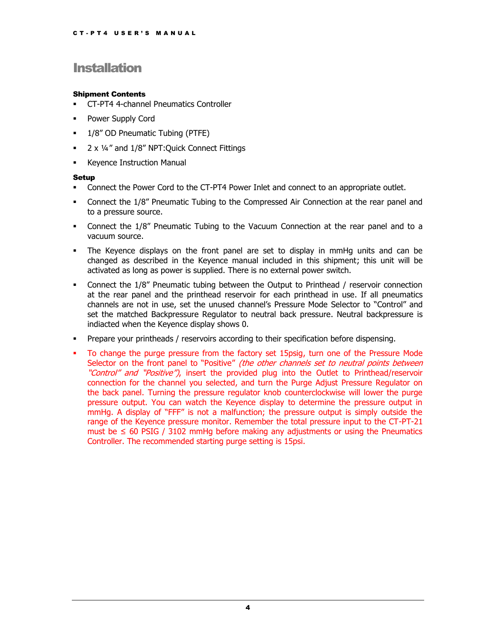## **Installation**

#### Shipment Contents

- CT-PT4 4-channel Pneumatics Controller
- **Power Supply Cord**
- 1/8" OD Pneumatic Tubing (PTFE)
- **2 x 1/4" and 1/8" NPT: Quick Connect Fittings**
- **Keyence Instruction Manual**

#### Setup

- Connect the Power Cord to the CT-PT4 Power Inlet and connect to an appropriate outlet.
- Connect the 1/8" Pneumatic Tubing to the Compressed Air Connection at the rear panel and to a pressure source.
- Connect the 1/8" Pneumatic Tubing to the Vacuum Connection at the rear panel and to a vacuum source.
- The Keyence displays on the front panel are set to display in mmHg units and can be changed as described in the Keyence manual included in this shipment; this unit will be activated as long as power is supplied. There is no external power switch.
- Connect the 1/8" Pneumatic tubing between the Output to Printhead / reservoir connection at the rear panel and the printhead reservoir for each printhead in use. If all pneumatics channels are not in use, set the unused channel's Pressure Mode Selector to "Control" and set the matched Backpressure Regulator to neutral back pressure. Neutral backpressure is indiacted when the Keyence display shows 0.
- Prepare your printheads / reservoirs according to their specification before dispensing.
- To change the purge pressure from the factory set 15psig, turn one of the Pressure Mode Selector on the front panel to "Positive" (the other channels set to neutral points between "Control" and "Positive"), insert the provided plug into the Outlet to Printhead/reservoir connection for the channel you selected, and turn the Purge Adjust Pressure Regulator on the back panel. Turning the pressure regulator knob counterclockwise will lower the purge pressure output. You can watch the Keyence display to determine the pressure output in mmHg. A display of "FFF" is not a malfunction; the pressure output is simply outside the range of the Keyence pressure monitor. Remember the total pressure input to the CT-PT-21 must be  $\leq$  60 PSIG / 3102 mmHg before making any adjustments or using the Pneumatics Controller. The recommended starting purge setting is 15psi.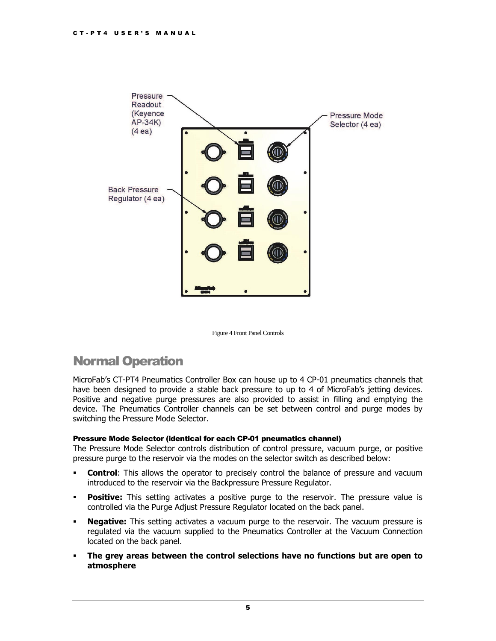

Figure 4 Front Panel Controls

## Normal Operation

MicroFab's CT-PT4 Pneumatics Controller Box can house up to 4 CP-01 pneumatics channels that have been designed to provide a stable back pressure to up to 4 of MicroFab's jetting devices. Positive and negative purge pressures are also provided to assist in filling and emptying the device. The Pneumatics Controller channels can be set between control and purge modes by switching the Pressure Mode Selector.

#### Pressure Mode Selector (identical for each CP-01 pneumatics channel)

The Pressure Mode Selector controls distribution of control pressure, vacuum purge, or positive pressure purge to the reservoir via the modes on the selector switch as described below:

- **Control**: This allows the operator to precisely control the balance of pressure and vacuum introduced to the reservoir via the Backpressure Pressure Regulator.
- **Positive:** This setting activates a positive purge to the reservoir. The pressure value is controlled via the Purge Adjust Pressure Regulator located on the back panel.
- **Negative:** This setting activates a vacuum purge to the reservoir. The vacuum pressure is regulated via the vacuum supplied to the Pneumatics Controller at the Vacuum Connection located on the back panel.
- **The grey areas between the control selections have no functions but are open to atmosphere**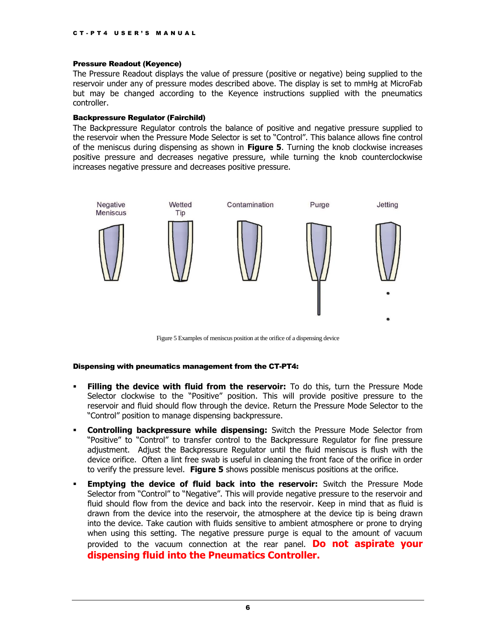#### Pressure Readout (Keyence)

The Pressure Readout displays the value of pressure (positive or negative) being supplied to the reservoir under any of pressure modes described above. The display is set to mmHg at MicroFab but may be changed according to the Keyence instructions supplied with the pneumatics controller.

#### Backpressure Regulator (Fairchild)

The Backpressure Regulator controls the balance of positive and negative pressure supplied to the reservoir when the Pressure Mode Selector is set to "Control". This balance allows fine control of the meniscus during dispensing as shown in **[Figure 5](#page-6-0)**. Turning the knob clockwise increases positive pressure and decreases negative pressure, while turning the knob counterclockwise increases negative pressure and decreases positive pressure.



Figure 5 Examples of meniscus position at the orifice of a dispensing device

#### <span id="page-6-0"></span>Dispensing with pneumatics management from the CT-PT4:

- **Filling the device with fluid from the reservoir:** To do this, turn the Pressure Mode Selector clockwise to the "Positive" position. This will provide positive pressure to the reservoir and fluid should flow through the device. Return the Pressure Mode Selector to the "Control" position to manage dispensing backpressure.
- **Controlling backpressure while dispensing:** Switch the Pressure Mode Selector from "Positive" to "Control" to transfer control to the Backpressure Regulator for fine pressure adjustment. Adjust the Backpressure Regulator until the fluid meniscus is flush with the device orifice. Often a lint free swab is useful in cleaning the front face of the orifice in order to verify the pressure level. **Figure 5** shows possible meniscus positions at the orifice.
- **Emptying the device of fluid back into the reservoir:** Switch the Pressure Mode Selector from "Control" to "Negative". This will provide negative pressure to the reservoir and fluid should flow from the device and back into the reservoir. Keep in mind that as fluid is drawn from the device into the reservoir, the atmosphere at the device tip is being drawn into the device. Take caution with fluids sensitive to ambient atmosphere or prone to drying when using this setting. The negative pressure purge is equal to the amount of vacuum provided to the vacuum connection at the rear panel. **Do not aspirate your dispensing fluid into the Pneumatics Controller.**